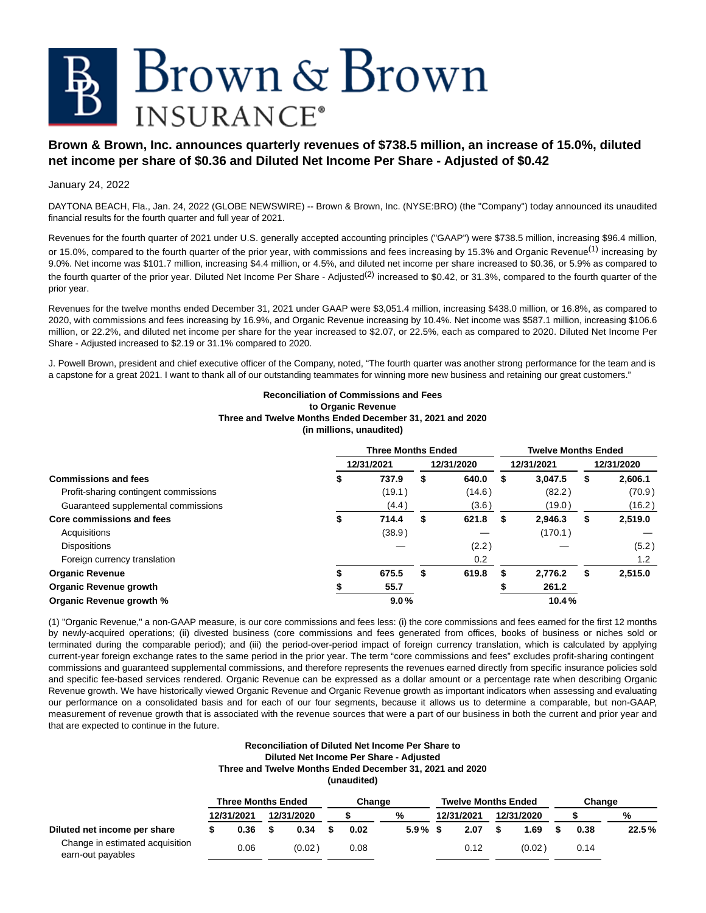# Brown & Brown **INSURANCE**<sup>®</sup>

## **Brown & Brown, Inc. announces quarterly revenues of \$738.5 million, an increase of 15.0%, diluted net income per share of \$0.36 and Diluted Net Income Per Share - Adjusted of \$0.42**

## January 24, 2022

DAYTONA BEACH, Fla., Jan. 24, 2022 (GLOBE NEWSWIRE) -- Brown & Brown, Inc. (NYSE:BRO) (the "Company") today announced its unaudited financial results for the fourth quarter and full year of 2021.

Revenues for the fourth quarter of 2021 under U.S. generally accepted accounting principles ("GAAP") were \$738.5 million, increasing \$96.4 million, or 15.0%, compared to the fourth quarter of the prior year, with commissions and fees increasing by 15.3% and Organic Revenue<sup>(1)</sup> increasing by 9.0%. Net income was \$101.7 million, increasing \$4.4 million, or 4.5%, and diluted net income per share increased to \$0.36, or 5.9% as compared to the fourth quarter of the prior year. Diluted Net Income Per Share - Adjusted(2) increased to \$0.42, or 31.3%, compared to the fourth quarter of the prior year.

Revenues for the twelve months ended December 31, 2021 under GAAP were \$3,051.4 million, increasing \$438.0 million, or 16.8%, as compared to 2020, with commissions and fees increasing by 16.9%, and Organic Revenue increasing by 10.4%. Net income was \$587.1 million, increasing \$106.6 million, or 22.2%, and diluted net income per share for the year increased to \$2.07, or 22.5%, each as compared to 2020. Diluted Net Income Per Share - Adjusted increased to \$2.19 or 31.1% compared to 2020.

J. Powell Brown, president and chief executive officer of the Company, noted, "The fourth quarter was another strong performance for the team and is a capstone for a great 2021. I want to thank all of our outstanding teammates for winning more new business and retaining our great customers."

## **Reconciliation of Commissions and Fees to Organic Revenue Three and Twelve Months Ended December 31, 2021 and 2020 (in millions, unaudited)**

|                                       |   | <b>Three Months Ended</b> |             |   | <b>Twelve Months Ended</b> |               |
|---------------------------------------|---|---------------------------|-------------|---|----------------------------|---------------|
|                                       |   | 12/31/2021                | 12/31/2020  |   | 12/31/2021                 | 12/31/2020    |
| <b>Commissions and fees</b>           | S | 737.9                     | \$<br>640.0 | S | 3.047.5                    | \$<br>2,606.1 |
| Profit-sharing contingent commissions |   | (19.1)                    | (14.6)      |   | (82.2)                     | (70.9)        |
| Guaranteed supplemental commissions   |   | (4.4)                     | (3.6)       |   | (19.0)                     | (16.2)        |
| <b>Core commissions and fees</b>      |   | 714.4                     | \$<br>621.8 | S | 2.946.3                    | \$<br>2,519.0 |
| Acquisitions                          |   | (38.9)                    |             |   | (170.1)                    |               |
| <b>Dispositions</b>                   |   |                           | (2.2)       |   |                            | (5.2)         |
| Foreign currency translation          |   |                           | 0.2         |   |                            | 1.2           |
| <b>Organic Revenue</b>                |   | 675.5                     | \$<br>619.8 | S | 2.776.2                    | \$<br>2,515.0 |
| <b>Organic Revenue growth</b>         |   | 55.7                      |             |   | 261.2                      |               |
| Organic Revenue growth %              |   | 9.0%                      |             |   | 10.4%                      |               |

(1) "Organic Revenue," a non-GAAP measure, is our core commissions and fees less: (i) the core commissions and fees earned for the first 12 months by newly-acquired operations; (ii) divested business (core commissions and fees generated from offices, books of business or niches sold or terminated during the comparable period); and (iii) the period-over-period impact of foreign currency translation, which is calculated by applying current-year foreign exchange rates to the same period in the prior year. The term "core commissions and fees" excludes profit-sharing contingent commissions and guaranteed supplemental commissions, and therefore represents the revenues earned directly from specific insurance policies sold and specific fee-based services rendered. Organic Revenue can be expressed as a dollar amount or a percentage rate when describing Organic Revenue growth. We have historically viewed Organic Revenue and Organic Revenue growth as important indicators when assessing and evaluating our performance on a consolidated basis and for each of our four segments, because it allows us to determine a comparable, but non-GAAP, measurement of revenue growth that is associated with the revenue sources that were a part of our business in both the current and prior year and that are expected to continue in the future.

#### **Reconciliation of Diluted Net Income Per Share to Diluted Net Income Per Share - Adjusted Three and Twelve Months Ended December 31, 2021 and 2020 (unaudited)**

|                                                      | <b>Three Months Ended</b> | Change     |  |      |            | <b>Twelve Months Ended</b> |            |  |            |  | Change |       |  |
|------------------------------------------------------|---------------------------|------------|--|------|------------|----------------------------|------------|--|------------|--|--------|-------|--|
|                                                      | 12/31/2021                | 12/31/2020 |  |      | %          |                            | 12/31/2021 |  | 12/31/2020 |  |        | %     |  |
| Diluted net income per share                         | 0.36                      | 0.34       |  | 0.02 | $5.9\%$ \$ |                            | 2.07       |  | 1.69       |  | 0.38   | 22.5% |  |
| Change in estimated acquisition<br>earn-out payables | 0.06                      | (0.02)     |  | 0.08 |            |                            | 0.12       |  | (0.02)     |  | 0.14   |       |  |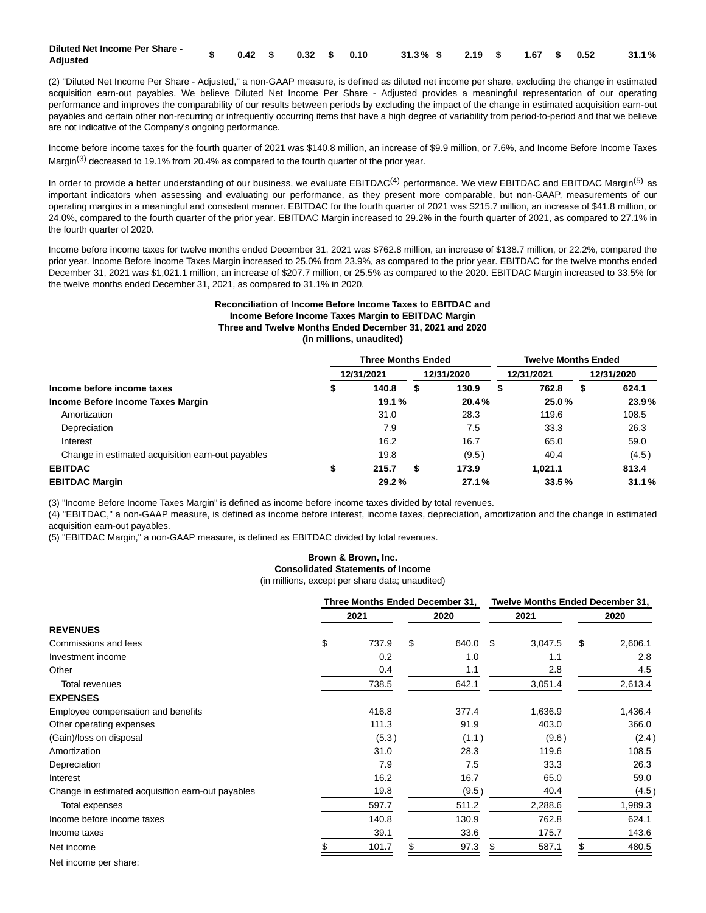| Diluted Net Income Per Share - |  |  |  | $\textbf{S}$ 0.42 \$ 0.32 \$ 0.10 31.3% \$ 2.19 \$ 1.67 \$ 0.52 31.1% |  |  |  |
|--------------------------------|--|--|--|-----------------------------------------------------------------------|--|--|--|
| Adjusted                       |  |  |  |                                                                       |  |  |  |

(2) "Diluted Net Income Per Share - Adjusted," a non-GAAP measure, is defined as diluted net income per share, excluding the change in estimated acquisition earn-out payables. We believe Diluted Net Income Per Share - Adjusted provides a meaningful representation of our operating performance and improves the comparability of our results between periods by excluding the impact of the change in estimated acquisition earn-out payables and certain other non-recurring or infrequently occurring items that have a high degree of variability from period-to-period and that we believe are not indicative of the Company's ongoing performance.

Income before income taxes for the fourth quarter of 2021 was \$140.8 million, an increase of \$9.9 million, or 7.6%, and Income Before Income Taxes Margin<sup>(3)</sup> decreased to 19.1% from 20.4% as compared to the fourth quarter of the prior year.

In order to provide a better understanding of our business, we evaluate  $EBITDAC^{(4)}$  performance. We view  $EBITDAC$  and  $EBITDAC$  Margin<sup>(5)</sup> as important indicators when assessing and evaluating our performance, as they present more comparable, but non-GAAP, measurements of our operating margins in a meaningful and consistent manner. EBITDAC for the fourth quarter of 2021 was \$215.7 million, an increase of \$41.8 million, or 24.0%, compared to the fourth quarter of the prior year. EBITDAC Margin increased to 29.2% in the fourth quarter of 2021, as compared to 27.1% in the fourth quarter of 2020.

Income before income taxes for twelve months ended December 31, 2021 was \$762.8 million, an increase of \$138.7 million, or 22.2%, compared the prior year. Income Before Income Taxes Margin increased to 25.0% from 23.9%, as compared to the prior year. EBITDAC for the twelve months ended December 31, 2021 was \$1,021.1 million, an increase of \$207.7 million, or 25.5% as compared to the 2020. EBITDAC Margin increased to 33.5% for the twelve months ended December 31, 2021, as compared to 31.1% in 2020.

## **Reconciliation of Income Before Income Taxes to EBITDAC and Income Before Income Taxes Margin to EBITDAC Margin Three and Twelve Months Ended December 31, 2021 and 2020 (in millions, unaudited)**

|                                                   | <b>Three Months Ended</b> |            |   | <b>Twelve Months Ended</b> |   |            |   |            |
|---------------------------------------------------|---------------------------|------------|---|----------------------------|---|------------|---|------------|
|                                                   |                           | 12/31/2021 |   | 12/31/2020                 |   | 12/31/2021 |   | 12/31/2020 |
| Income before income taxes                        | D                         | 140.8      | S | 130.9                      | 5 | 762.8      | S | 624.1      |
| Income Before Income Taxes Margin                 |                           | 19.1%      |   | 20.4%                      |   | 25.0%      |   | 23.9%      |
| Amortization                                      |                           | 31.0       |   | 28.3                       |   | 119.6      |   | 108.5      |
| Depreciation                                      |                           | 7.9        |   | 7.5                        |   | 33.3       |   | 26.3       |
| Interest                                          |                           | 16.2       |   | 16.7                       |   | 65.0       |   | 59.0       |
| Change in estimated acquisition earn-out payables |                           | 19.8       |   | (9.5)                      |   | 40.4       |   | (4.5)      |
| <b>EBITDAC</b>                                    |                           | 215.7      |   | 173.9                      |   | 1.021.1    |   | 813.4      |
| <b>EBITDAC Margin</b>                             |                           | 29.2%      |   | 27.1%                      |   | 33.5%      |   | 31.1%      |

(3) "Income Before Income Taxes Margin" is defined as income before income taxes divided by total revenues.

(4) "EBITDAC," a non-GAAP measure, is defined as income before interest, income taxes, depreciation, amortization and the change in estimated acquisition earn-out payables.

(5) "EBITDAC Margin," a non-GAAP measure, is defined as EBITDAC divided by total revenues.

## **Brown & Brown, Inc. Consolidated Statements of Income**

(in millions, except per share data; unaudited)

|                                                   |     | Three Months Ended December 31, |    |          |     |         | <b>Twelve Months Ended December 31,</b> |         |  |
|---------------------------------------------------|-----|---------------------------------|----|----------|-----|---------|-----------------------------------------|---------|--|
|                                                   |     | 2021                            |    | 2020     |     | 2021    |                                         | 2020    |  |
| <b>REVENUES</b>                                   |     |                                 |    |          |     |         |                                         |         |  |
| Commissions and fees                              | \$  | 737.9                           | \$ | 640.0 \$ |     | 3,047.5 | \$                                      | 2,606.1 |  |
| Investment income                                 |     | 0.2                             |    | 1.0      |     | 1.1     |                                         | 2.8     |  |
| Other                                             |     | 0.4                             |    | 1.1      |     | 2.8     |                                         | 4.5     |  |
| Total revenues                                    |     | 738.5                           |    | 642.1    |     | 3,051.4 |                                         | 2,613.4 |  |
| <b>EXPENSES</b>                                   |     |                                 |    |          |     |         |                                         |         |  |
| Employee compensation and benefits                |     | 416.8                           |    | 377.4    |     | 1,636.9 |                                         | 1,436.4 |  |
| Other operating expenses                          |     | 111.3                           |    | 91.9     |     | 403.0   |                                         | 366.0   |  |
| (Gain)/loss on disposal                           |     | (5.3)                           |    | (1.1)    |     | (9.6)   |                                         | (2.4)   |  |
| Amortization                                      |     | 31.0                            |    | 28.3     |     | 119.6   |                                         | 108.5   |  |
| Depreciation                                      |     | 7.9                             |    | 7.5      |     | 33.3    |                                         | 26.3    |  |
| Interest                                          |     | 16.2                            |    | 16.7     |     | 65.0    |                                         | 59.0    |  |
| Change in estimated acquisition earn-out payables |     | 19.8                            |    | (9.5)    |     | 40.4    |                                         | (4.5)   |  |
| Total expenses                                    |     | 597.7                           |    | 511.2    |     | 2,288.6 |                                         | 1,989.3 |  |
| Income before income taxes                        |     | 140.8                           |    | 130.9    |     | 762.8   |                                         | 624.1   |  |
| Income taxes                                      |     | 39.1                            |    | 33.6     |     | 175.7   |                                         | 143.6   |  |
| Net income                                        | \$. | 101.7                           | \$ | 97.3     | \$. | 587.1   | \$                                      | 480.5   |  |
| Net income per share:                             |     |                                 |    |          |     |         |                                         |         |  |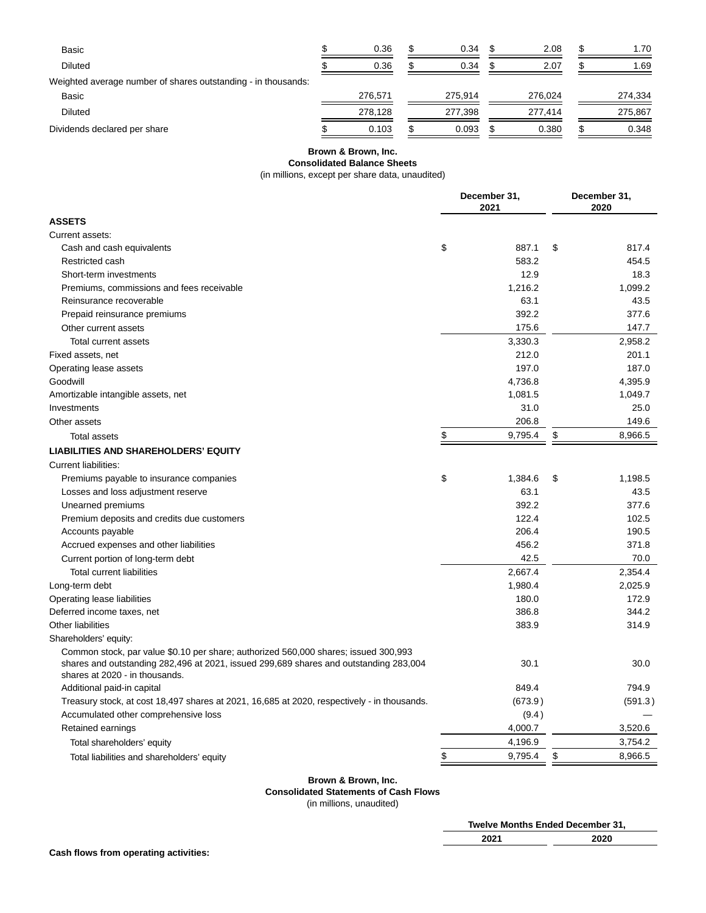| Basic                                                         | 0.36    | 0.34    | 2.08    | 1.70    |
|---------------------------------------------------------------|---------|---------|---------|---------|
| <b>Diluted</b>                                                | 0.36    | 0.34    | 2.07    | 1.69    |
| Weighted average number of shares outstanding - in thousands: |         |         |         |         |
| Basic                                                         | 276.571 | 275.914 | 276.024 | 274,334 |
| <b>Diluted</b>                                                | 278.128 | 277.398 | 277.414 | 275,867 |
| Dividends declared per share                                  | 0.103   | 0.093   | 0.380   | 0.348   |

## **Brown & Brown, Inc. Consolidated Balance Sheets**

(in millions, except per share data, unaudited)

|                                                                                                                                                                                                                | December 31,<br>2021 | December 31,<br>2020 |         |  |
|----------------------------------------------------------------------------------------------------------------------------------------------------------------------------------------------------------------|----------------------|----------------------|---------|--|
| <b>ASSETS</b>                                                                                                                                                                                                  |                      |                      |         |  |
| Current assets:                                                                                                                                                                                                |                      |                      |         |  |
| Cash and cash equivalents                                                                                                                                                                                      | \$<br>887.1          | \$                   | 817.4   |  |
| Restricted cash                                                                                                                                                                                                | 583.2                |                      | 454.5   |  |
| Short-term investments                                                                                                                                                                                         | 12.9                 |                      | 18.3    |  |
| Premiums, commissions and fees receivable                                                                                                                                                                      | 1,216.2              |                      | 1,099.2 |  |
| Reinsurance recoverable                                                                                                                                                                                        | 63.1                 |                      | 43.5    |  |
| Prepaid reinsurance premiums                                                                                                                                                                                   | 392.2                |                      | 377.6   |  |
| Other current assets                                                                                                                                                                                           | 175.6                |                      | 147.7   |  |
| <b>Total current assets</b>                                                                                                                                                                                    | 3,330.3              |                      | 2,958.2 |  |
| Fixed assets, net                                                                                                                                                                                              | 212.0                |                      | 201.1   |  |
| Operating lease assets                                                                                                                                                                                         | 197.0                |                      | 187.0   |  |
| Goodwill                                                                                                                                                                                                       | 4,736.8              |                      | 4,395.9 |  |
| Amortizable intangible assets, net                                                                                                                                                                             | 1,081.5              |                      | 1,049.7 |  |
| Investments                                                                                                                                                                                                    | 31.0                 |                      | 25.0    |  |
| Other assets                                                                                                                                                                                                   | 206.8                |                      | 149.6   |  |
| <b>Total assets</b>                                                                                                                                                                                            | \$<br>9,795.4        | \$                   | 8,966.5 |  |
| <b>LIABILITIES AND SHAREHOLDERS' EQUITY</b>                                                                                                                                                                    |                      |                      |         |  |
| Current liabilities:                                                                                                                                                                                           |                      |                      |         |  |
| Premiums payable to insurance companies                                                                                                                                                                        | \$<br>1,384.6        | \$                   | 1,198.5 |  |
| Losses and loss adjustment reserve                                                                                                                                                                             | 63.1                 |                      | 43.5    |  |
| Unearned premiums                                                                                                                                                                                              | 392.2                |                      | 377.6   |  |
| Premium deposits and credits due customers                                                                                                                                                                     | 122.4                |                      | 102.5   |  |
| Accounts payable                                                                                                                                                                                               | 206.4                |                      | 190.5   |  |
| Accrued expenses and other liabilities                                                                                                                                                                         | 456.2                |                      | 371.8   |  |
| Current portion of long-term debt                                                                                                                                                                              | 42.5                 |                      | 70.0    |  |
| <b>Total current liabilities</b>                                                                                                                                                                               | 2,667.4              |                      | 2,354.4 |  |
| Long-term debt                                                                                                                                                                                                 | 1,980.4              |                      | 2,025.9 |  |
| Operating lease liabilities                                                                                                                                                                                    | 180.0                |                      | 172.9   |  |
| Deferred income taxes, net                                                                                                                                                                                     | 386.8                |                      | 344.2   |  |
| Other liabilities                                                                                                                                                                                              | 383.9                |                      | 314.9   |  |
| Shareholders' equity:                                                                                                                                                                                          |                      |                      |         |  |
| Common stock, par value \$0.10 per share; authorized 560,000 shares; issued 300,993<br>shares and outstanding 282,496 at 2021, issued 299,689 shares and outstanding 283,004<br>shares at 2020 - in thousands. | 30.1                 |                      | 30.0    |  |
| Additional paid-in capital                                                                                                                                                                                     | 849.4                |                      | 794.9   |  |
| Treasury stock, at cost 18,497 shares at 2021, 16,685 at 2020, respectively - in thousands.                                                                                                                    | (673.9)              |                      | (591.3) |  |
| Accumulated other comprehensive loss                                                                                                                                                                           | (9.4)                |                      |         |  |
| Retained earnings                                                                                                                                                                                              | 4,000.7              |                      | 3,520.6 |  |
| Total shareholders' equity                                                                                                                                                                                     | 4,196.9              |                      | 3,754.2 |  |
| Total liabilities and shareholders' equity                                                                                                                                                                     | \$<br>9,795.4        | \$                   | 8,966.5 |  |

## **Brown & Brown, Inc. Consolidated Statements of Cash Flows** (in millions, unaudited)

| <b>Twelve Months Ended December 31.</b> |              |
|-----------------------------------------|--------------|
| יממ<br>ZUZ 1                            | חהחה<br>ZUZU |
|                                         |              |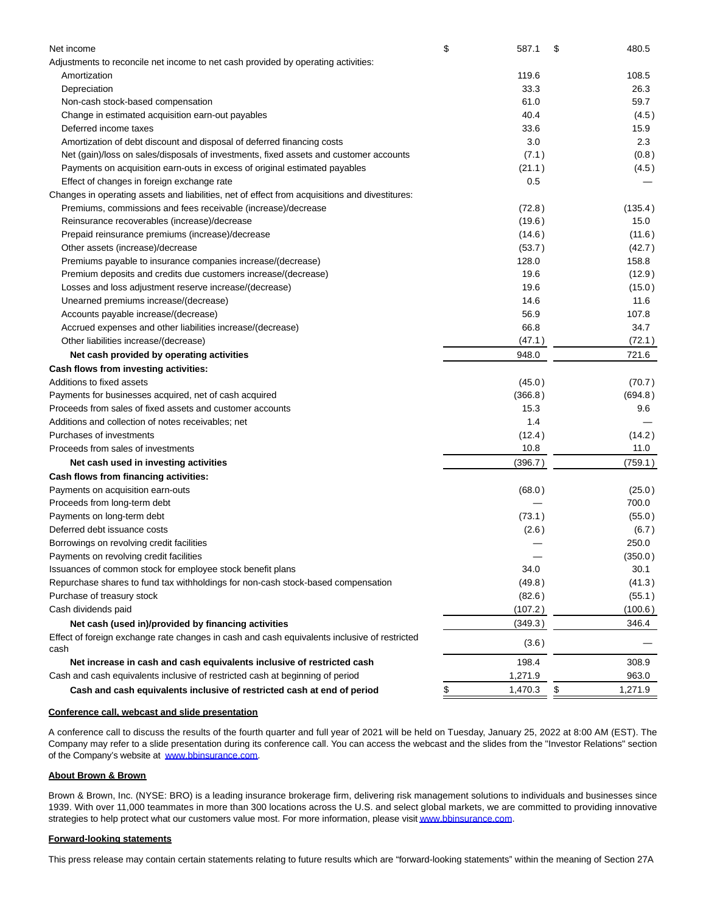| Adjustments to reconcile net income to net cash provided by operating activities:<br>Amortization<br>Depreciation<br>Non-cash stock-based compensation<br>Change in estimated acquisition earn-out payables<br>Deferred income taxes<br>Amortization of debt discount and disposal of deferred financing costs | 119.6<br>33.3<br>61.0<br>40.4<br>33.6 | 108.5<br>26.3<br>59.7 |
|----------------------------------------------------------------------------------------------------------------------------------------------------------------------------------------------------------------------------------------------------------------------------------------------------------------|---------------------------------------|-----------------------|
|                                                                                                                                                                                                                                                                                                                |                                       |                       |
|                                                                                                                                                                                                                                                                                                                |                                       |                       |
|                                                                                                                                                                                                                                                                                                                |                                       |                       |
|                                                                                                                                                                                                                                                                                                                |                                       |                       |
|                                                                                                                                                                                                                                                                                                                |                                       | (4.5)                 |
|                                                                                                                                                                                                                                                                                                                |                                       | 15.9                  |
|                                                                                                                                                                                                                                                                                                                | 3.0                                   | 2.3                   |
| Net (gain)/loss on sales/disposals of investments, fixed assets and customer accounts                                                                                                                                                                                                                          | (7.1)                                 | (0.8)                 |
| Payments on acquisition earn-outs in excess of original estimated payables                                                                                                                                                                                                                                     | (21.1)                                | (4.5)                 |
| Effect of changes in foreign exchange rate                                                                                                                                                                                                                                                                     | 0.5                                   |                       |
| Changes in operating assets and liabilities, net of effect from acquisitions and divestitures:                                                                                                                                                                                                                 |                                       |                       |
| Premiums, commissions and fees receivable (increase)/decrease                                                                                                                                                                                                                                                  | (72.8)                                | (135.4)               |
| Reinsurance recoverables (increase)/decrease                                                                                                                                                                                                                                                                   | (19.6)                                | 15.0                  |
| Prepaid reinsurance premiums (increase)/decrease                                                                                                                                                                                                                                                               | (14.6)                                | (11.6)                |
| Other assets (increase)/decrease                                                                                                                                                                                                                                                                               | (53.7)                                | (42.7)                |
| Premiums payable to insurance companies increase/(decrease)                                                                                                                                                                                                                                                    | 128.0                                 | 158.8                 |
| Premium deposits and credits due customers increase/(decrease)                                                                                                                                                                                                                                                 | 19.6                                  | (12.9)                |
| Losses and loss adjustment reserve increase/(decrease)                                                                                                                                                                                                                                                         | 19.6                                  | (15.0)                |
| Unearned premiums increase/(decrease)                                                                                                                                                                                                                                                                          | 14.6                                  | 11.6                  |
| Accounts payable increase/(decrease)                                                                                                                                                                                                                                                                           | 56.9                                  | 107.8                 |
| Accrued expenses and other liabilities increase/(decrease)                                                                                                                                                                                                                                                     | 66.8                                  | 34.7                  |
| Other liabilities increase/(decrease)                                                                                                                                                                                                                                                                          | (47.1)                                | (72.1)                |
| Net cash provided by operating activities                                                                                                                                                                                                                                                                      | 948.0                                 | 721.6                 |
| Cash flows from investing activities:                                                                                                                                                                                                                                                                          |                                       |                       |
| Additions to fixed assets                                                                                                                                                                                                                                                                                      | (45.0)                                | (70.7)                |
| Payments for businesses acquired, net of cash acquired                                                                                                                                                                                                                                                         | (366.8)                               | (694.8)               |
| Proceeds from sales of fixed assets and customer accounts                                                                                                                                                                                                                                                      | 15.3                                  | 9.6                   |
| Additions and collection of notes receivables; net                                                                                                                                                                                                                                                             | 1.4                                   |                       |
| Purchases of investments                                                                                                                                                                                                                                                                                       | (12.4)                                | (14.2)                |
| Proceeds from sales of investments                                                                                                                                                                                                                                                                             | 10.8                                  | 11.0                  |
| Net cash used in investing activities                                                                                                                                                                                                                                                                          | (396.7)                               | (759.1)               |
| Cash flows from financing activities:                                                                                                                                                                                                                                                                          |                                       |                       |
| Payments on acquisition earn-outs                                                                                                                                                                                                                                                                              | (68.0)                                | (25.0)                |
| Proceeds from long-term debt                                                                                                                                                                                                                                                                                   |                                       | 700.0                 |
| Payments on long-term debt                                                                                                                                                                                                                                                                                     | (73.1)                                | (55.0)                |
| Deferred debt issuance costs                                                                                                                                                                                                                                                                                   | (2.6)                                 | (6.7)                 |
| Borrowings on revolving credit facilities                                                                                                                                                                                                                                                                      |                                       | 250.0                 |
| Payments on revolving credit facilities                                                                                                                                                                                                                                                                        |                                       | (350.0)               |
| Issuances of common stock for employee stock benefit plans                                                                                                                                                                                                                                                     | 34.0                                  | 30.1                  |
| Repurchase shares to fund tax withholdings for non-cash stock-based compensation                                                                                                                                                                                                                               | (49.8)                                | (41.3)                |
| Purchase of treasury stock                                                                                                                                                                                                                                                                                     | (82.6)                                | (55.1)                |
| Cash dividends paid                                                                                                                                                                                                                                                                                            | (107.2)                               | (100.6)               |
| Net cash (used in)/provided by financing activities                                                                                                                                                                                                                                                            | (349.3)                               | 346.4                 |
| Effect of foreign exchange rate changes in cash and cash equivalents inclusive of restricted<br>cash                                                                                                                                                                                                           | (3.6)                                 |                       |
| Net increase in cash and cash equivalents inclusive of restricted cash                                                                                                                                                                                                                                         | 198.4                                 | 308.9                 |
| Cash and cash equivalents inclusive of restricted cash at beginning of period                                                                                                                                                                                                                                  | 1,271.9                               | 963.0                 |
| Cash and cash equivalents inclusive of restricted cash at end of period                                                                                                                                                                                                                                        | \$<br>1,470.3                         | \$<br>1,271.9         |

## **Conference call, webcast and slide presentation**

A conference call to discuss the results of the fourth quarter and full year of 2021 will be held on Tuesday, January 25, 2022 at 8:00 AM (EST). The Company may refer to a slide presentation during its conference call. You can access the webcast and the slides from the "Investor Relations" section of the Company's website at [www.bbinsurance.com.](https://www.globenewswire.com/Tracker?data=wPm8Y_5juLony37NGhUpa7LHDjijmMsAInfNc392lloleLQ5NW-G20GJJ5MtT-FtLnx4iVHvTKauNl521mif7Qo8xLyXLurFcyYol2itnuk=)

## **About Brown & Brown**

Brown & Brown, Inc. (NYSE: BRO) is a leading insurance brokerage firm, delivering risk management solutions to individuals and businesses since 1939. With over 11,000 teammates in more than 300 locations across the U.S. and select global markets, we are committed to providing innovative strategies to help protect what our customers value most. For more information, please visi[t www.bbinsurance.com.](https://www.globenewswire.com/Tracker?data=wPm8Y_5juLony37NGhUpa8DdjLu-M7dOQFGxKMRLbPZgF7E8M7GOJWzXDHuZuffe90LRMQOhqG5wMPwAl18IIt1kTpEoMTRuKV8_tVCa_6M=)

#### **Forward-looking statements**

This press release may contain certain statements relating to future results which are "forward-looking statements" within the meaning of Section 27A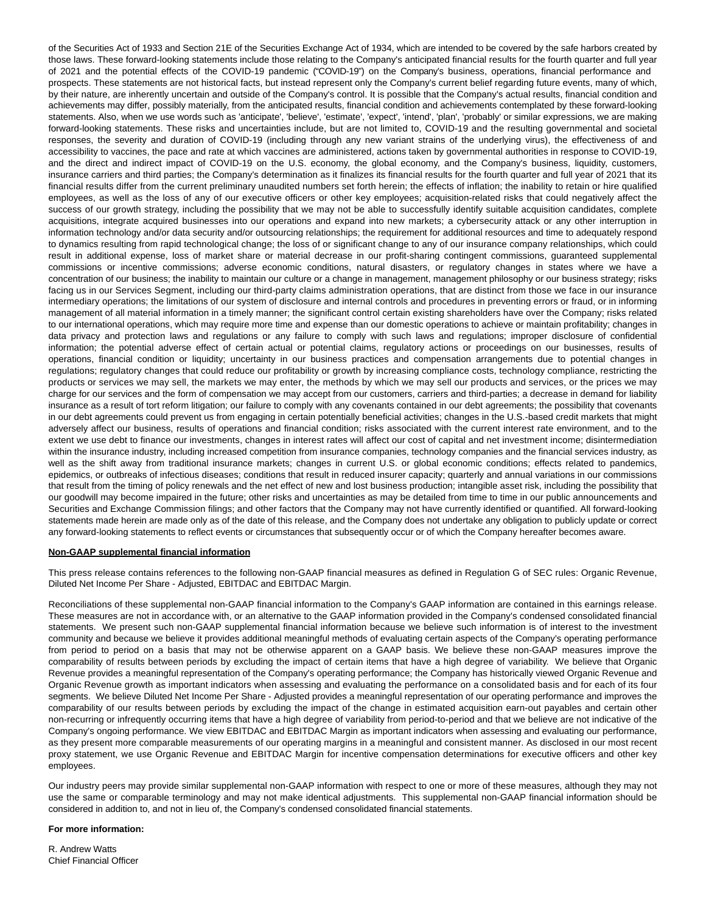of the Securities Act of 1933 and Section 21E of the Securities Exchange Act of 1934, which are intended to be covered by the safe harbors created by those laws. These forward-looking statements include those relating to the Company's anticipated financial results for the fourth quarter and full year of 2021 and the potential effects of the COVID-19 pandemic ("COVID-19") on the Company's business, operations, financial performance and prospects. These statements are not historical facts, but instead represent only the Company's current belief regarding future events, many of which, by their nature, are inherently uncertain and outside of the Company's control. It is possible that the Company's actual results, financial condition and achievements may differ, possibly materially, from the anticipated results, financial condition and achievements contemplated by these forward-looking statements. Also, when we use words such as 'anticipate', 'believe', 'estimate', 'expect', 'intend', 'plan', 'probably' or similar expressions, we are making forward-looking statements. These risks and uncertainties include, but are not limited to, COVID-19 and the resulting governmental and societal responses, the severity and duration of COVID-19 (including through any new variant strains of the underlying virus), the effectiveness of and accessibility to vaccines, the pace and rate at which vaccines are administered, actions taken by governmental authorities in response to COVID-19, and the direct and indirect impact of COVID-19 on the U.S. economy, the global economy, and the Company's business, liquidity, customers, insurance carriers and third parties; the Company's determination as it finalizes its financial results for the fourth quarter and full year of 2021 that its financial results differ from the current preliminary unaudited numbers set forth herein; the effects of inflation; the inability to retain or hire qualified employees, as well as the loss of any of our executive officers or other key employees; acquisition-related risks that could negatively affect the success of our growth strategy, including the possibility that we may not be able to successfully identify suitable acquisition candidates, complete acquisitions, integrate acquired businesses into our operations and expand into new markets; a cybersecurity attack or any other interruption in information technology and/or data security and/or outsourcing relationships; the requirement for additional resources and time to adequately respond to dynamics resulting from rapid technological change; the loss of or significant change to any of our insurance company relationships, which could result in additional expense, loss of market share or material decrease in our profit-sharing contingent commissions, guaranteed supplemental commissions or incentive commissions; adverse economic conditions, natural disasters, or regulatory changes in states where we have a concentration of our business; the inability to maintain our culture or a change in management, management philosophy or our business strategy; risks facing us in our Services Segment, including our third-party claims administration operations, that are distinct from those we face in our insurance intermediary operations; the limitations of our system of disclosure and internal controls and procedures in preventing errors or fraud, or in informing management of all material information in a timely manner; the significant control certain existing shareholders have over the Company; risks related to our international operations, which may require more time and expense than our domestic operations to achieve or maintain profitability; changes in data privacy and protection laws and regulations or any failure to comply with such laws and regulations; improper disclosure of confidential information; the potential adverse effect of certain actual or potential claims, regulatory actions or proceedings on our businesses, results of operations, financial condition or liquidity; uncertainty in our business practices and compensation arrangements due to potential changes in regulations; regulatory changes that could reduce our profitability or growth by increasing compliance costs, technology compliance, restricting the products or services we may sell, the markets we may enter, the methods by which we may sell our products and services, or the prices we may charge for our services and the form of compensation we may accept from our customers, carriers and third-parties; a decrease in demand for liability insurance as a result of tort reform litigation; our failure to comply with any covenants contained in our debt agreements; the possibility that covenants in our debt agreements could prevent us from engaging in certain potentially beneficial activities; changes in the U.S.-based credit markets that might adversely affect our business, results of operations and financial condition; risks associated with the current interest rate environment, and to the extent we use debt to finance our investments, changes in interest rates will affect our cost of capital and net investment income; disintermediation within the insurance industry, including increased competition from insurance companies, technology companies and the financial services industry, as well as the shift away from traditional insurance markets; changes in current U.S. or global economic conditions; effects related to pandemics, epidemics, or outbreaks of infectious diseases; conditions that result in reduced insurer capacity; quarterly and annual variations in our commissions that result from the timing of policy renewals and the net effect of new and lost business production; intangible asset risk, including the possibility that our goodwill may become impaired in the future; other risks and uncertainties as may be detailed from time to time in our public announcements and Securities and Exchange Commission filings; and other factors that the Company may not have currently identified or quantified. All forward-looking statements made herein are made only as of the date of this release, and the Company does not undertake any obligation to publicly update or correct any forward-looking statements to reflect events or circumstances that subsequently occur or of which the Company hereafter becomes aware.

#### **Non-GAAP supplemental financial information**

This press release contains references to the following non-GAAP financial measures as defined in Regulation G of SEC rules: Organic Revenue, Diluted Net Income Per Share - Adjusted, EBITDAC and EBITDAC Margin.

Reconciliations of these supplemental non-GAAP financial information to the Company's GAAP information are contained in this earnings release. These measures are not in accordance with, or an alternative to the GAAP information provided in the Company's condensed consolidated financial statements. We present such non-GAAP supplemental financial information because we believe such information is of interest to the investment community and because we believe it provides additional meaningful methods of evaluating certain aspects of the Company's operating performance from period to period on a basis that may not be otherwise apparent on a GAAP basis. We believe these non-GAAP measures improve the comparability of results between periods by excluding the impact of certain items that have a high degree of variability. We believe that Organic Revenue provides a meaningful representation of the Company's operating performance; the Company has historically viewed Organic Revenue and Organic Revenue growth as important indicators when assessing and evaluating the performance on a consolidated basis and for each of its four segments. We believe Diluted Net Income Per Share - Adjusted provides a meaningful representation of our operating performance and improves the comparability of our results between periods by excluding the impact of the change in estimated acquisition earn-out payables and certain other non-recurring or infrequently occurring items that have a high degree of variability from period-to-period and that we believe are not indicative of the Company's ongoing performance. We view EBITDAC and EBITDAC Margin as important indicators when assessing and evaluating our performance, as they present more comparable measurements of our operating margins in a meaningful and consistent manner. As disclosed in our most recent proxy statement, we use Organic Revenue and EBITDAC Margin for incentive compensation determinations for executive officers and other key employees.

Our industry peers may provide similar supplemental non-GAAP information with respect to one or more of these measures, although they may not use the same or comparable terminology and may not make identical adjustments. This supplemental non-GAAP financial information should be considered in addition to, and not in lieu of, the Company's condensed consolidated financial statements.

## **For more information:**

R. Andrew Watts Chief Financial Officer